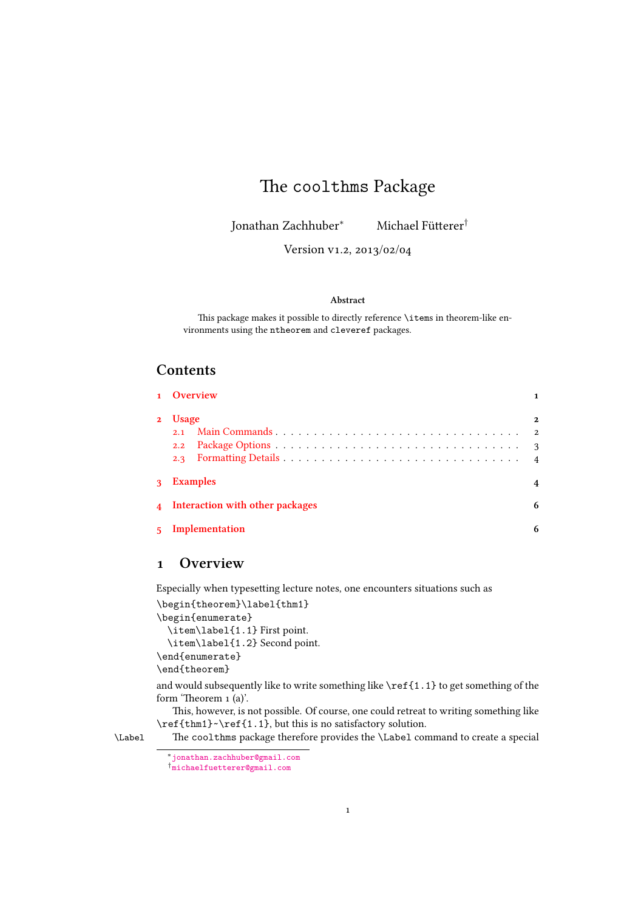# The coolthms Package

Jonathan Zachhuber*<sup>∗</sup>* Michael Füerer*†*

Version v1.2, 2013/02/04

#### **Abstract**

This package makes it possible to directly reference \items in theorem-like environments using the ntheorem and cleveref packages.

## **Contents**

|              | 1 Overview                        |              |
|--------------|-----------------------------------|--------------|
| $2^{\circ}$  | <b>Usage</b><br>2.1               | $\mathbf{2}$ |
|              |                                   |              |
|              |                                   |              |
| $\mathbf{3}$ | <b>Examples</b>                   |              |
|              | 4 Interaction with other packages | 6            |
|              | 5 Implementation                  |              |

## **[Overview](#page-5-0)**

[Especially when type](#page-5-1)setting lecture notes, one encounters situations such as

```
\begin{theorem}\label{thm1}
\begin{enumerate}
  \item\label{1.1} First point.
  \item\label{1.2} Second point.
\end{enumerate}
\end{theorem}
```
and would subsequently like to write something like \ref{1.1} to get something of the form 'Theorem  $1$  (a)'.

This, however, is not possible. Of course, one could retreat to writing something like \ref{thm1}~\ref{1.1}, but this is no satisfactory solution.

\Label e coolthms package therefore provides the \Label command to create a special

*<sup>∗</sup>*jonathan.zachhuber@gmail.com

<span id="page-0-1"></span>*<sup>†</sup>*michaelfuetterer@gmail.com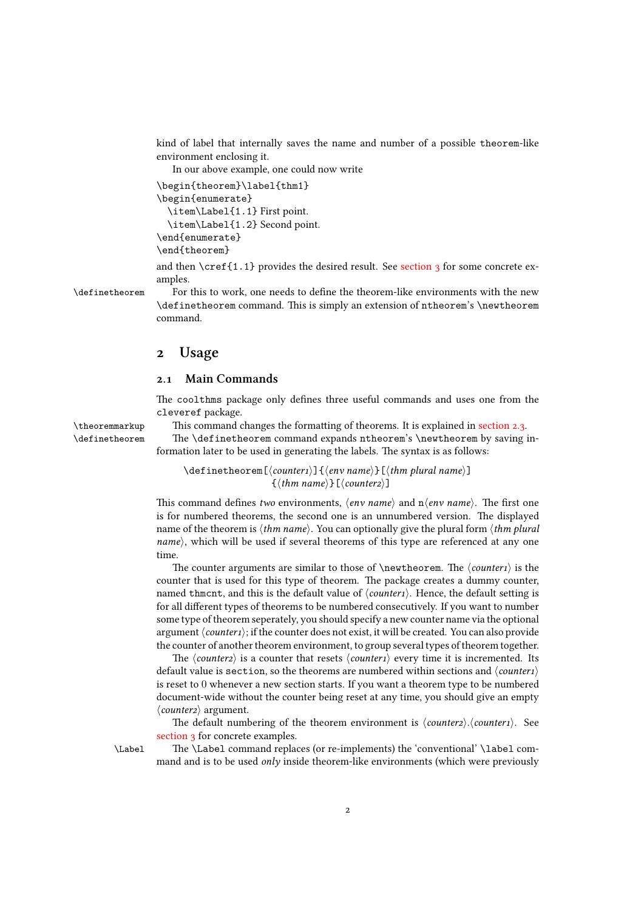kind of label that internally saves the name and number of a possible theorem-like environment enclosing it.

In our above example, one could now write

```
\begin{theorem}\label{thm1}
\begin{enumerate}
  \item\Label{1.1} First point.
  \item\Label{1.2} Second point.
\end{enumerate}
\end{theorem}
```
and then  $\cref{1.1}$  provides the desired result. See section 3 for some concrete examples.

\definetheorem For this to work, one needs to define the theorem-like environments with the new \definetheorem command. This is simply an extension of ntheorem's \newtheorem command.

## <span id="page-1-2"></span> **Usage**

### **. Main Commands**

<span id="page-1-1"></span><span id="page-1-0"></span>The coolthms package only defines three useful commands and uses one from the cleveref package.

\theoremmarkup This command changes the formatting of theorems. It is explained in section 2.3.

\definetheorem The \definetheorem command expands ntheorem's \newtheorem by saving information later to be used in generating the labels. The syntax is as follows:

> <span id="page-1-5"></span>\definetheorem[*⟨counter⟩*]{*⟨env name⟩*}[*⟨thm plural name⟩*] {*⟨thm name⟩*}[*⟨counter⟩*]

<span id="page-1-3"></span>This command defines *two* environments,  $\langle env \ name \rangle$  and  $n\langle env \ name \rangle$ . The first one is for numbered theorems, the second one is an unnumbered version. The displayed name of the theorem is *⟨thm name⟩*. You can optionally give the plural form *⟨thm plural name*<sup> $\rangle$ </sup>, which will be used if several theorems of this type are referenced at any one time.

The counter arguments are similar to those of  $\newcommand{\nn}{{\n}^{conv}}$ . The  $\{\n$ counter that is used for this type of theorem. The package creates a dummy counter, named thmcnt, and this is the default value of  $\langle counter \rangle$ . Hence, the default setting is for all different types of theorems to be numbered consecutively. If you want to number some type of theorem seperately, you should specify a new counter name via the optional argument*⟨counter⟩*; if the counter does not exist, it will be created. You can also provide the counter of another theorem environment, to group several types of theorem together.

e *⟨counter⟩* is a counter that resets *⟨counter⟩* every time it is incremented. Its default value is section, so the theorems are numbered within sections and *⟨counter⟩* is reset to 0 whenever a new section starts. If you want a theorem type to be numbered document-wide without the counter being reset at any time, you should give an empty *⟨counter⟩* argument.

e default numbering of the theorem environment is *⟨counter⟩*.*⟨counter⟩*. See section 3 for concrete examples.

<span id="page-1-4"></span>

\Label e \Label command replaces (or re-implements) the 'conventional' \label command and is to be used *only* inside theorem-like environments (which were previously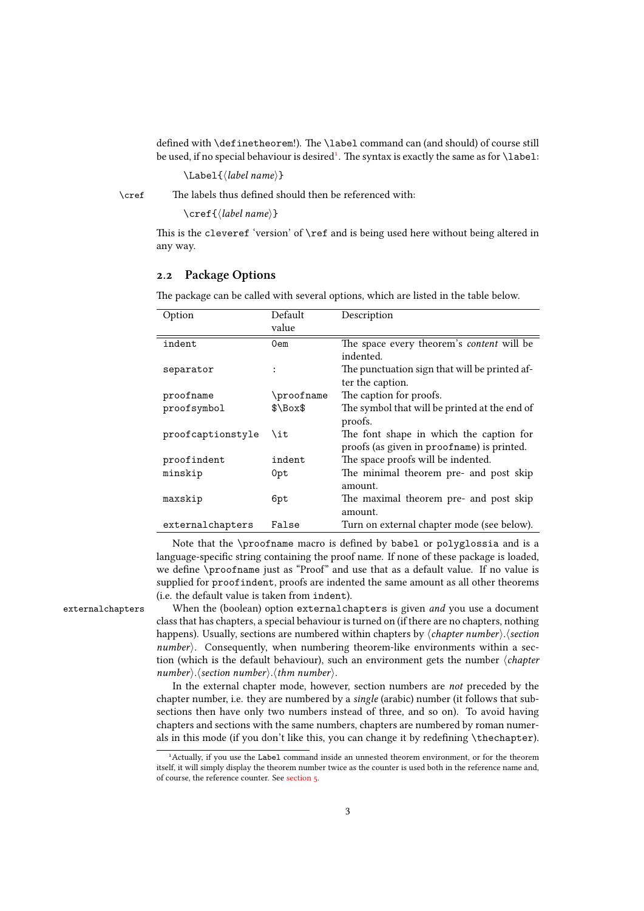defined with \definetheorem!). The \label command can (and should) of course still be used, if no special behaviour is desired<sup>1</sup>. The syntax is exactly the same as for \label:

\Label{*⟨label name⟩*}

\cref e labels thus defined should then be referenced with:

\cref{*⟨label name⟩*}

<span id="page-2-1"></span>This is the cleveref 'version' of  $\ref$  and is being used here without being altered in any way.

#### 2.2 Package Options

The package can be called with several options, which are listed in the table below.

<span id="page-2-0"></span>

| Option            | Default     | Description                                   |
|-------------------|-------------|-----------------------------------------------|
|                   | value       |                                               |
| indent            | 0em         | The space every theorem's content will be     |
|                   |             | indented.                                     |
| separator         |             | The punctuation sign that will be printed af- |
|                   |             | ter the caption.                              |
| proofname         | \proofname  | The caption for proofs.                       |
| proofsymbol       | $\text{S}\$ | The symbol that will be printed at the end of |
|                   |             | proofs.                                       |
| proofcaptionstyle | \it         | The font shape in which the caption for       |
|                   |             | proofs (as given in proofname) is printed.    |
| proofindent       | indent      | The space proofs will be indented.            |
| minskip           | 0pt         | The minimal theorem pre- and post skip        |
|                   |             | amount.                                       |
| maxskip           | 6pt         | The maximal theorem pre- and post skip        |
|                   |             | amount.                                       |
| externalchapters  | False       | Turn on external chapter mode (see below).    |

Note that the \proofname macro is defined by babel or polyglossia and is a language-specific string containing the proof name. If none of these package is loaded, we define \proofname just as "Proo" and use that as a default value. If no value is supplied for proofindent, proofs are indented the same amount as all other theorems (i.e. the default value is taken from indent).

externalchapters When the (boolean) option externalchapters is given *and* you use a document class that has chapters, a special behaviour is turned on (if there are no chapters, nothing happens). Usually, sections are numbered within chapters by *⟨chapter number⟩*.*⟨section number* $\angle$ . Consequently, when numbering theorem-like environments within a section (which is the default behaviour), such an environment gets the number *⟨chapter number⟩*.*⟨section number⟩*.*⟨thm number⟩*.

> <span id="page-2-2"></span>In the external chapter mode, however, section numbers are *not* preceded by the chapter number, i.e. they are numbered by a *single* (arabic) number (it follows that subsections then have only two numbers instead of three, and so on). To avoid having chapters and sections with the same numbers, chapters are numbered by roman numerals in this mode (if you don't like this, you can change it by redefining \thechapter).

<sup>&</sup>lt;sup>1</sup> Actually, if you use the Label command inside an unnested theorem environment, or for the theorem itself, it will simply display the theorem number twice as the counter is used both in the reference name and, of course, the reference counter. See section 5.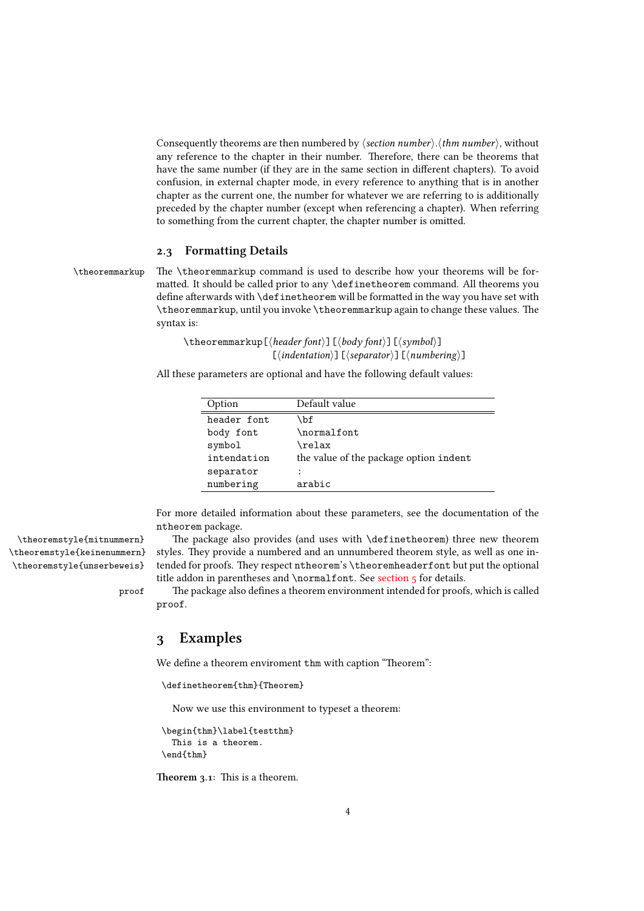Consequently theorems are then numbered by *⟨section number⟩*.*⟨thm number⟩*, without any reference to the chapter in their number. Therefore, there can be theorems that have the same number (if they are in the same section in different chapters). To avoid confusion, in external chapter mode, in every reference to anything that is in another chapter as the current one, the number for whatever we are referring to is additionally preceded by the chapter number (except when referencing a chapter). When referring to something from the current chapter, the chapter number is omitted.

### **. Formatting Details**

 $\theta$  theoremmarkup The  $\theta$  theoremmarkup command is used to describe how your theorems will be formatted. It should be called prior to any **\definetheorem** command. All theorems you define afterwards with \definetheorem will be formatted in the way you have set with \theoremmarkup, until you invoke \theoremmarkup again to change these values. The syntax is:

> <span id="page-3-3"></span><span id="page-3-0"></span>\theoremmarkup[*⟨header font⟩*][*⟨body font⟩*][*⟨symbol⟩*] [*⟨indentation⟩*][*⟨separator⟩*][*⟨numbering⟩*]

All these parameters are optional and have the following default values:

| Option      | Default value                          |
|-------------|----------------------------------------|
| header font | \bf                                    |
| body font   | \normalfont                            |
| symbol      | \relax                                 |
| intendation | the value of the package option indent |
| separator   | ٠                                      |
| numbering   | arabic                                 |

For more detailed information about these parameters, see the documentation of the ntheorem package.

\theoremstyle{mitnummern} e package also provides (and uses with \definetheorem) three new theorem styles. They provide a numbered and an unnumbered theorem style, as well as one intended for proofs. They respect ntheorem's \theoremheaderfont but put the optional title addon in parentheses and \normalfont. See section  $5$  for details.

> proof e package also defines a theorem environment intended for proofs, which is called proof.

## <span id="page-3-4"></span><span id="page-3-2"></span> **Examples**

We define a theorem enviroment thm with caption "Theorem":

<span id="page-3-1"></span>\definetheorem{thm}{Theorem}

Now we use this environment to typeset a theorem:

```
\begin{thm}\label{testthm}
  This is a theorem.
\end{thm}
```
**Theorem 3.1:** This is a theorem.

\theoremstyle{keinenummern} \theoremstyle{unserbeweis}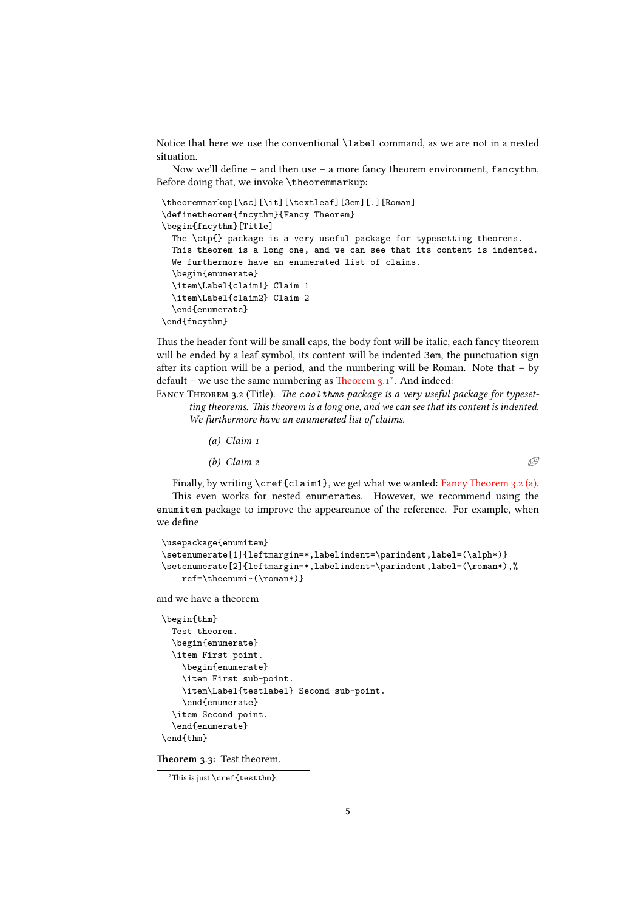Notice that here we use the conventional \label command, as we are not in a nested situation.

Now we'll define – and then use – a more fancy theorem environment, fancythm. Before doing that, we invoke \theoremmarkup:

```
\theoremmarkup[\sc][\it][\textleaf][3em][.][Roman]
\definetheorem{fncythm}{Fancy Theorem}
\begin{fncythm}[Title]
  The \ctp{} package is a very useful package for typesetting theorems.
  This theorem is a long one, and we can see that its content is indented.
  We furthermore have an enumerated list of claims.
  \begin{enumerate}
  \item\Label{claim1} Claim 1
  \item\Label{claim2} Claim 2
  \end{enumerate}
\end{fncythm}
```
Thus the header font will be small caps, the body font will be italic, each fancy theorem will be ended by a leaf symbol, its content will be indented 3em, the punctuation sign after its caption will be a period, and the numbering will be Roman. Note that  $-$  by default – we use the same numbering as Theorem  $3.1^2$ . And indeed:

FANCY THEOREM 3.2 (Title). The cool thms package is a very useful package for typesetting theorems. This theorem is a long one, and we can see that its content is indented. *We furthermore have an enumerated list of claims.*

> *(a) Claim (b) Claim 2*  $\mathscr{B}$

Finally, by writing  $\cref{claim1}$ , we get what we wanted: Fancy Theorem 3.2 (a). This even works for nested enumerates. However, we recommend using the enumitem package to improve the appeareance of the reference. For example, when we define

```
\usepackage{enumitem}
\setenumerate[1]{leftmargin=*,labelindent=\parindent,label=(\alph*)}
\setenumerate[2]{leftmargin=*,labelindent=\parindent,label=(\roman*),%
    ref=\theenumi~(\roman*)}
```
and we have a theorem

```
\begin{thm}
  Test theorem.
  \begin{enumerate}
  \item First point.
    \begin{enumerate}
    \item First sub-point.
    \item\Label{testlabel} Second sub-point.
    \end{enumerate}
  \item Second point.
  \end{enumerate}
\end{thm}
```
**Theorem 3.3: Test theorem.** 

 $2$ This is just \cref{testthm}.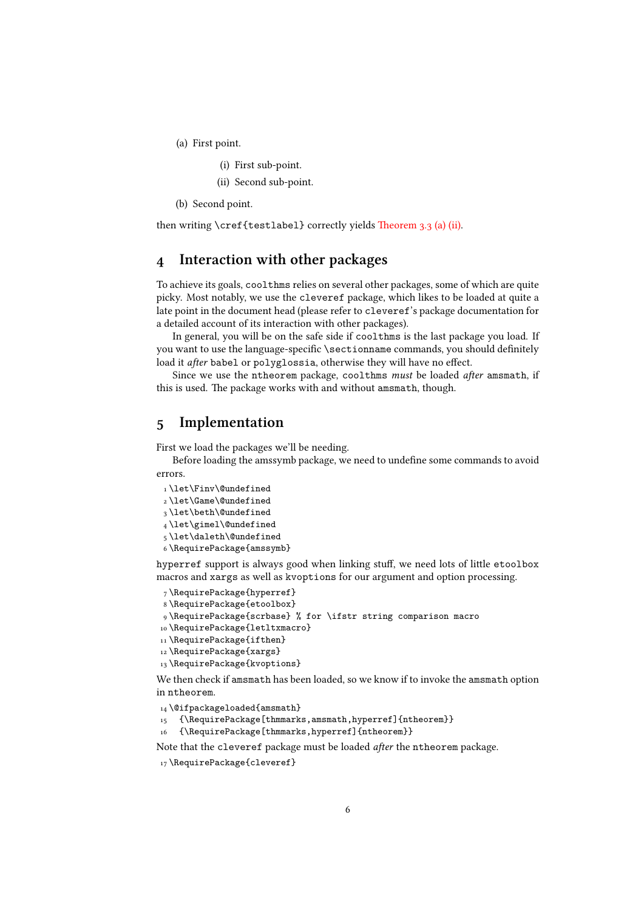(a) First point.

- (i) First sub-point.
- (ii) Second sub-point.
- (b) Second point.

<span id="page-5-2"></span>then writing \cref{testlabel} correctly yields Theorem  $3.3$  (a) (ii).

## **Interaction with other paages**

<span id="page-5-0"></span>To achieve its goals, coolthms relies on several ot[her packages, some o](#page-5-2)f which are quite picky. Most notably, we use the cleveref package, which likes to be loaded at quite a late point in the document head (please refer to cleveref's package documentation for a detailed account of its interaction with other packages).

In general, you will be on the safe side if coolthms is the last package you load. If you want to use the language-specific \sectionname commands, you should definitely load it *after* babel or polyglossia, otherwise they will have no effect.

Since we use the ntheorem package, coolthms *must* be loaded *after* amsmath, if this is used. The package works with and without amsmath, though.

## **Implementation**

First we load the packages we'll be needing.

<span id="page-5-1"></span>Before loading the amssymb package, we need to undefine some commands to avoid errors.

1\let\Finv\@undefined \let\Game\@undefined  $_3\let\beth\@undefined$ 4\let\gimel\@undefined \let\daleth\@undefined \RequirePackage{amssymb}

<span id="page-5-9"></span><span id="page-5-7"></span><span id="page-5-6"></span><span id="page-5-4"></span>hyperref support is always good when linking stuff, we need lots of little etoolbox macros and xargs as well as kvoptions for our argument and option processing.

```
 \RequirePackage{hyperref}
```

```
 \RequirePackage{etoolbox}
```

```
 \RequirePackage{scrbase} % for \ifstr string comparison macro
```
- 10 \RequirePackage{letltxmacro}
- 11\RequirePackage{ifthen}
- 12 \RequirePackage{xargs}
- <span id="page-5-8"></span>13\RequirePackage{kvoptions}

<span id="page-5-11"></span>We then check if amsmath has been loaded, so we know if to invoke the amsmath option in ntheorem.

- <span id="page-5-12"></span>14 \@ifpackageloaded{amsmath}
- <span id="page-5-13"></span>15 {\RequirePackage[thmmarks,amsmath,hyperref]{ntheorem}}
- 16 {\RequirePackage[thmmarks,hyperref]{ntheorem}}

Note that the cleveref package must be loaded *after* the ntheorem package.

```
17\RequirePackage{cleveref}
```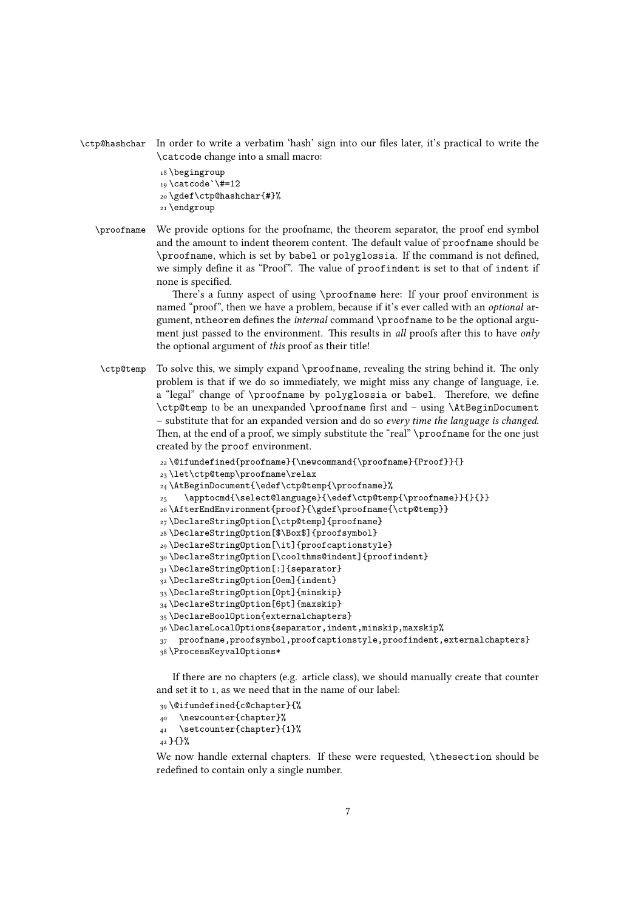```
\ctp@hashchar In order to write a verbatim 'hash' sign into our files later, it's practical to write the
                 \catcode change into a small macro:
```
- <span id="page-6-8"></span><span id="page-6-7"></span><span id="page-6-0"></span>18 \begingroup  $_{19}$  \catcode `\#=12 \gdef\ctp@hashchar{#}% 21 \endgroup
- \proofname We provide options for the proofname, the theorem separator, the proof end symbol and the amount to indent theorem content. The default value of proofname should be \proofname, which is set by babel or polyglossia. If the command is not defined, we simply define it as "Proof". The value of proofindent is set to that of indent if none is specified.

There's a funny aspect of using \proofname here: If your proof environment is named "proo", then we have a problem, because if it's ever called with an *optional* argument, ntheorem defines the *internal* command \proofname to be the optional argument just passed to the environment. This results in *all* proofs after this to have *only* the optional argument of *this* proof as their title!

\ctp@temp To solve this, we simply expand \proofname, revealing the string behind it. The only problem is that if we do so immediately, we might miss any change of language, i.e. a "legal" change of \proofname by polyglossia or babel. Therefore, we define \ctp@temp to be an unexpanded \proofname first and – using \AtBeginDocument – substitute that for an expanded version and do so *every time the language is changed*. Then, at the end of a proof, we simply substitute the "real" \proofname for the one just created by the proof environment.

```
22\@ifundefined{proofname}{\newcommand{\proofname}{Proof}}{}
```
<span id="page-6-11"></span><sub>23</sub>\let\ctp@temp\proofname\relax

```
 \AtBeginDocument{\edef\ctp@temp{\proofname}%
```
<span id="page-6-1"></span>\apptocmd{\select@language}{\edef\ctp@temp{\proofname}}{}{}}

- <span id="page-6-9"></span>\AfterEndEnvironment{proof}{\gdef\proofname{\ctp@temp}}
- 27\DeclareStringOption[\ctp@temp]{proofname}
- <span id="page-6-3"></span>\DeclareStringOption[\$\Box\$]{proofsymbol}
- <span id="page-6-10"></span>\DeclareStringOption[\it]{proofcaptionstyle}
- \DeclareStringOption[\coolthms@indent]{proofindent}
- 31\DeclareStringOption[:]{separator}
- 32 \DeclareStringOption[0em]{indent}
- 33 \DeclareStringOption[Opt]{minskip}
- 34 \DeclareStringOption[6pt]{maxskip}
- <span id="page-6-5"></span>35\DeclareBoolOption{externalchapters}
- <span id="page-6-6"></span>\DeclareLocalOptions{separator,indent,minskip,maxskip%
- proofname,proofsymbol,proofcaptionstyle,proofindent,externalchapters}

```
38\ProcessKeyvalOptions*
```
If there are no chapters (e.g. article class), we should manually create that counter and set it to 1, as we need that in the name of our label:

```
 \@ifundefined{c@chapter}{%
 \newcounter{chapter}%
```
<span id="page-6-15"></span>\setcounter{chapter}{1}%

}{}%

We now handle external chapters. If these were requested, \thesection should be redefined to contain only a single number.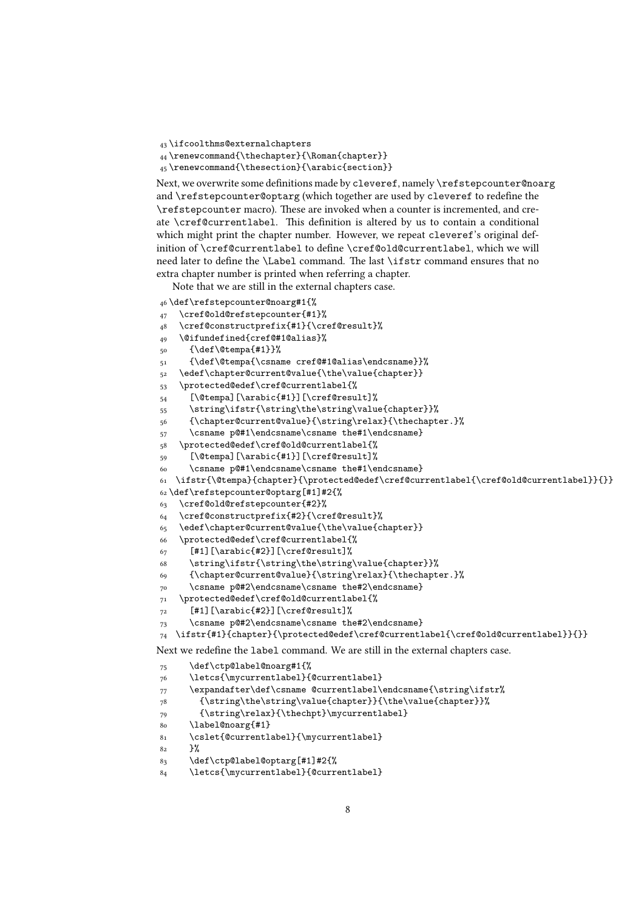```
 \ifcoolthms@externalchapters
```

```
44 \renewcommand{\thechapter}{\Roman{chapter}}
```

```
45\renewcommand{\thesection}{\arabic{section}}
```
Next, we overwrite some definitions made by cleveref, namely \refstepcounter@noarg and \refstepcounter@optarg (which together are used by cleveref to redefine the \refstepcounter macro). These are invoked when a counter is incremented, and create \cref@currentlabel. This definition is altered by us to contain a conditional which might print the chapter number. However, we repeat cleveref's original definition of \cref@currentlabel to define \cref@old@currentlabel, which we will need later to define the \Label command. The last \ifstr command ensures that no extra chapter number is printed when referring a chapter.

Note that we are still in the external chapters case.

```
 \def\refstepcounter@noarg#1{%
```

```
 \cref@old@refstepcounter{#1}%
```

```
 \cref@constructprefix{#1}{\cref@result}%
```

```
 \@ifundefined{cref@#1@alias}%
```

```
_{50} {\def\@tempa{#1}}%
```

```
 {\def\@tempa{\csname cref@#1@alias\endcsname}}%
```

```
52 \edef\chapter@current@value{\the\value{chapter}}
```

```
 \protected@edef\cref@currentlabel{%
```
<span id="page-7-2"></span>[\@tempa][\arabic{#1}][\cref@result]%

```
 \string\ifstr{\string\the\string\value{chapter}}%
```

```
 {\chapter@current@value}{\string\relax}{\thechapter.}%
```

```
{57} \csname p@#1\endcsname\csname the#1\endcsname}
```

```
 \protected@edef\cref@old@currentlabel{%
```

```
 [\@tempa][\arabic{#1}][\cref@result]%
```

```
 \csname p@#1\endcsname\csname the#1\endcsname}
```

```
 \ifstr{\@tempa}{chapter}{\protected@edef\cref@currentlabel{\cref@old@currentlabel}}{}}
```

```
62 \def \ref{t:1}#2{%
```

```
 \cref@old@refstepcounter{#2}%
```

```
 \cref@constructprefix{#2}{\cref@result}%
```

```
 \edef\chapter@current@value{\the\value{chapter}}
```

```
 \protected@edef\cref@currentlabel{%
```
- <span id="page-7-6"></span> $67$  [#1][\arabic{#2}][\cref@result]%
- <span id="page-7-33"></span>\string\ifstr{\string\the\string\value{chapter}}%

```
 {\chapter@current@value}{\string\relax}{\thechapter.}%
```

```
 \csname p@#2\endcsname\csname the#2\endcsname}
```

```
 \protected@edef\cref@old@currentlabel{%
```

```
_{72} [#1][\arabic{#2}][\cref@result]%
```
<span id="page-7-25"></span>\csname p@#2\endcsname\csname the#2\endcsname}

```
 \ifstr{#1}{chapter}{\protected@edef\cref@currentlabel{\cref@old@currentlabel}}{}}
```
Next we redefine the label command. We are still in the external chapters case.

<span id="page-7-27"></span>\def\ctp@label@noarg#1{%

```
 \letcs{\mycurrentlabel}{@currentlabel}
```

```
 \expandafter\def\csname @currentlabel\endcsname{\string\ifstr%
```

```
 {\string\the\string\value{chapter}}{\the\value{chapter}}%
```

```
 {\string\relax}{\thechpt}\mycurrentlabel}
```

```
 \label@noarg{#1}
```

```
 \cslet{@currentlabel}{\mycurrentlabel}
```

```
 }%
```

```
 \def\ctp@label@optarg[#1]#2{%
```

```
 \letcs{\mycurrentlabel}{@currentlabel}
```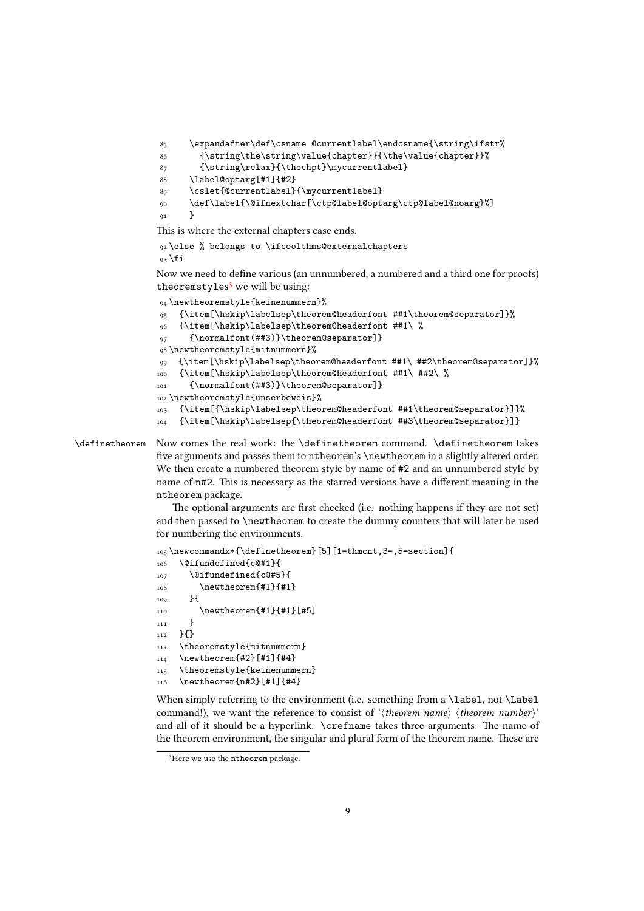```
85 \expandafter\def\csname @currentlabel\endcsname{\string\ifstr%
 {\string\the\string\value{chapter}}{\the\value{chapter}}%
 {\string\relax}{\thechpt}\mycurrentlabel}
 \label@optarg[#1]{#2}
 \cslet{@currentlabel}{\mycurrentlabel}
 \def\label{\@ifnextchar[\ctp@label@optarg\ctp@label@noarg}%]
<sub>91</sub> }
```
<span id="page-8-22"></span><span id="page-8-13"></span><span id="page-8-12"></span><span id="page-8-5"></span>This is where the external chapters case ends.

```
 \else % belongs to \ifcoolthms@externalchapters
93 \overline{1}
```
Now we need to define various (an unnumbered, a numbered and a third one for proofs) theoremstyles<sup>3</sup> we will be using:

```
 \newtheoremstyle{keinenummern}%
 {\item[\hskip\labelsep\theorem@headerfont ##1\theorem@separator]}%
 {\item[\hskip\labelsep\theorem@headerfont ##1\ %
 {\normalfont(##3)}\theorem@separator]}
 \newtheoremstyle{mitnummern}%
 {\item[\hskip\labelsep\theorem@headerfont ##1\ ##2\theorem@separator]}%
100 {\item[\hskip\labelsep\theorem@headerfont ##1\ ##2\ %
101 {\normalfont(##3)}\theorem@separator]}
102 \newtheoremstyle{unserbeweis}%
 {\item[{\hskip\labelsep\theorem@headerfont ##1\theorem@separator}]}%
 {\item[\hskip\labelsep{\theorem@headerfont ##3\theorem@separator}]}
```
<span id="page-8-20"></span><span id="page-8-6"></span><span id="page-8-3"></span><span id="page-8-2"></span>\definetheorem Now comes the real work: the \definetheorem command. \definetheorem takes five arguments and passes them to ntheorem's \newtheorem in a slightly altered order. We then create a numbered theorem style by name of #2 and an unnumbered style by name of n#2. This is necessary as the starred versions have a different meaning in the ntheorem package.

> <span id="page-8-24"></span><span id="page-8-21"></span><span id="page-8-11"></span><span id="page-8-10"></span>The optional arguments are first checked (i.e. nothing happens if they are not set) and then passed to \newtheorem to create the dummy counters that will later be used for numbering the environments.

```
105\newcommandx*{\definetheorem}[5][1=thmcnt,3=,5=section]{
106 \@ifundefined{c@#1}{
107 \@ifundefined{c@#5}{
108 \newtheorem{#1}{#1}
_{109} }{
110 \newtheorem{#1}{#1}[#5]
\frac{1}{111} }
112 }{}
113 \theoremstyle{mitnummern}
_{114} \newtheorem{#2}[#1]{#4}
115 \theoremstyle{keinenummern}
 \newtheorem{n#2}[#1]{#4}
```
<span id="page-8-26"></span><span id="page-8-25"></span><span id="page-8-17"></span><span id="page-8-16"></span><span id="page-8-15"></span>When simply referring to the environment (i.e. something from a \label, not \Label command!), we want the reference to consist of '*⟨theorem name⟩ ⟨theorem number⟩*' and all of it should be a hyperlink.  $\c{right}$  and the arguments: The name of the theorem environment, the singular and plural form of the theorem name. These are

<span id="page-8-18"></span><sup>&</sup>lt;sup>3</sup>Here we use the ntheorem package.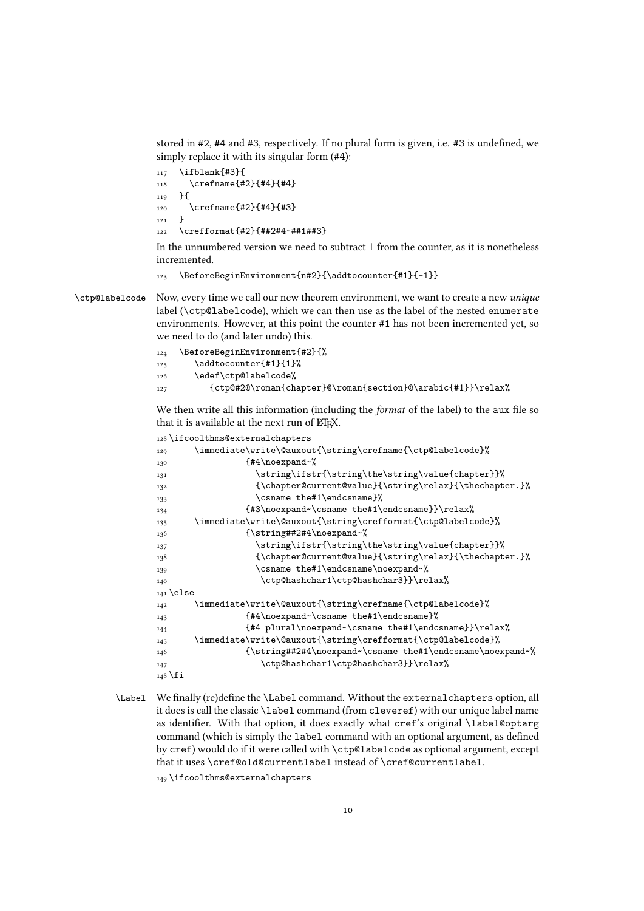stored in #2, #4 and #3, respectively. If no plural form is given, i.e. #3 is undefined, we simply replace it with its singular form (#4):

```
_{117} \ifblank{#3}{
118 \crefname{#2}{#4}{#4}
119 }{
120 \crefname{#2}{#4}{#3}
121 \frac{1}{2}122 \crefformat{#2}{##2#4~##1##3}
```
<span id="page-9-10"></span>In the unnumbered version we need to subtract 1 from the counter, as it is nonetheless incremented.

```
123 \BeforeBeginEnvironment{n#2}{\addtocounter{#1}{-1}}
```
\ctp@labelcode Now, every time we call our new theorem environment, we want to create a new *unique* label (\ctp@labelcode), which we can then use as the label of the nested enumerate environments. However, at this point the counter #1 has not been incremented yet, so we need to do (and later undo) this.

<span id="page-9-20"></span><span id="page-9-7"></span><span id="page-9-5"></span>

| 124 | \BeforeBeginEnvironment{#2}{%                               |
|-----|-------------------------------------------------------------|
| 125 | \addtocounter{#1}{1}%                                       |
| 126 | \edef\ctp@labelcode%                                        |
| 127 | {ctp@#2@\roman{chapter}@\roman{section}@\arabic{#1}}\relax% |

<span id="page-9-6"></span>We then write all this information (including the *format* of the label) to the aux file so that it is available at the next run of ETFX.

```
128\ifcoolthms@externalchapters
129 \immediate\write\@auxout{\string\crefname{\ctp@labelcode}%
130 {#4\noexpand~%}
\string\ifstr{\string\the\string\value{chapter}}%
 {\chapter@current@value}{\string\relax}{\thechapter.}%
133 \csname the#1\endcsname}%
134 {#3\noexpand~\csname the#1\endcsname}}\relax%
\immediate\write\@auxout{\string\crefformat{\ctp@labelcode}%
136 {\string##2#4\noexpand~%
 \string\ifstr{\string\the\string\value{chapter}}%
 {\chapter@current@value}{\string\relax}{\thechapter.}%
139 \csname the#1\endcsname\noexpand~%
140 \ctp@hashchar1\ctp@hashchar3}}\relax%
141 \else
\immediate\write\@auxout{\string\crefname{\ctp@labelcode}%
 {#4\noexpand~\csname the#1\endcsname}%
 {#4 plural\noexpand~\csname the#1\endcsname}}\relax%
\immediate\write\@auxout{\string\crefformat{\ctp@labelcode}%
 {\string##2#4\noexpand~\csname the#1\endcsname\noexpand~%
147 \ctp@hashchar1\ctp@hashchar3}}\relax%
_{148} \fi
```
<span id="page-9-29"></span><span id="page-9-23"></span><span id="page-9-22"></span><span id="page-9-21"></span><span id="page-9-19"></span><span id="page-9-18"></span><span id="page-9-17"></span><span id="page-9-16"></span><span id="page-9-3"></span><span id="page-9-2"></span>\Label We finally (re)define the \Label command. Without the externalchapters option, all it does is call the classic \label command (from cleveref) with our unique label name as identifier. With that option, it does exactly what cref's original \label@optarg command (which is simply the label command with an optional argument, as defined by cref) would do if it were called with \ctp@labelcode as optional argument, except that it uses \cref@old@currentlabel instead of \cref@currentlabel. 149 \ifcoolthms@externalchapters

<span id="page-9-26"></span>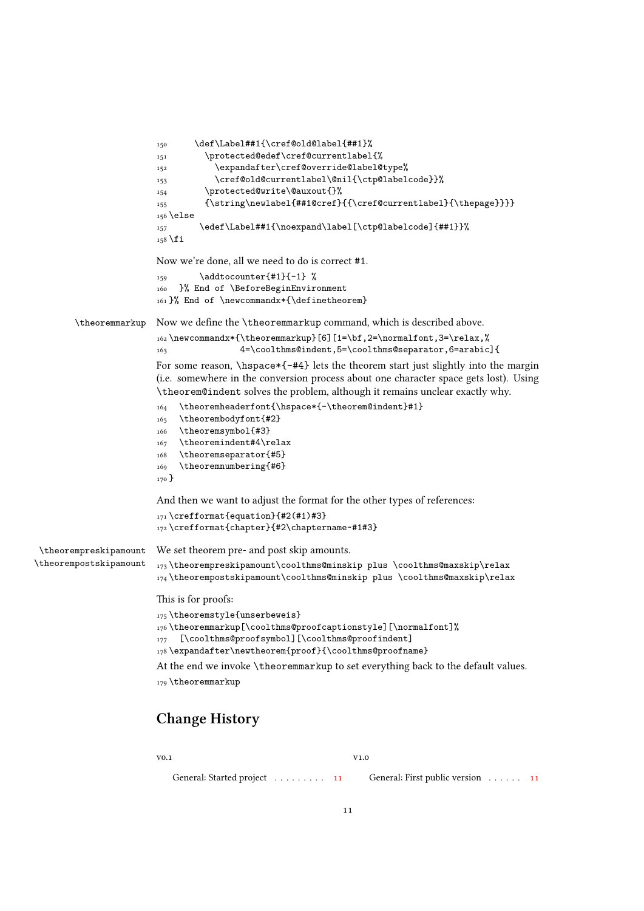```
 \def\Label##1{\cref@old@label{##1}%
                          \protected@edef\cref@currentlabel{%
                         152 \expandafter\cref@override@label@type%
                          \cref@old@currentlabel\@nil{\ctp@labelcode}}%
                          \protected@write\@auxout{}%
                          {\string\newlabel{##1@cref}{{\cref@currentlabel}{\thepage}}}}
                         156 \else
                          \edef\Label##1{\noexpand\label[\ctp@labelcode]{##1}}%
                         158 \fi
                         Now we're done, all we need to do is correct #1.
                         \qquad \qquad \qquad \qquad \qquad \text{at} \qquad \qquad \qquad \text{at} }% End of \BeforeBeginEnvironment
                         161 }% End of \newcommandx*{\definetheorem}
        \theoremmarkup Now we define the \theoremmarkup command, which is described above.
                         _{162} \newcommandx*{\theoremmarkup}[6][1=\bf,2=\normalfont,3=\relax,%
                          4=\coolthms@indent,5=\coolthms@separator,6=arabic]{
                         For some reason, \hspace{-.2cm} \hspace*{-#4} lets the theorem start just slightly into the margin
                         (i.e. somewhere in the conversion process about one character space gets lost). Using
                         \theorem@indent solves the problem, although it remains unclear exactly why.
                         164 \theoremheaderfont{\hspace*{-\theorem@indent}#1}
                         165 \theorembodyfont{#2}
                         166 \theoremsymbol{#3}
                         167 \theoremindent#4\relax
                         168 \theoremseparator{#5}
                         169 \theoremnumbering{#6}
                         _{170} }
                         And then we want to adjust the format for the other types of references:
                         _{171} \text{~} (refformat{equation}{#2(#1)#3}
                         172\crefformat{chapter}{#2\chaptername~#1#3}
 \theorempreskipamount
\theorempostskipamount
                         We set theorem pre- and post skip amounts.
                         173\theorempreskipamount\coolthms@minskip plus \coolthms@maxskip\relax
                         174\theorempostskipamount\coolthms@minskip plus \coolthms@maxskip\relax
                         This is for proofs:
                         175 \theoremstyle{unserbeweis}
                         176\theoremmarkup[\coolthms@proofcaptionstyle][\normalfont]%
                         177 [\coolthms@proofsymbol][\coolthms@proofindent]
                         178\expandafter\newtheorem{proof}{\coolthms@proofname}
                         At the end we invoke \theoremmarkup to set everything back to the default values.
                         179 \theoremmarkup
```
## <span id="page-10-30"></span><span id="page-10-29"></span><span id="page-10-28"></span><span id="page-10-27"></span><span id="page-10-26"></span><span id="page-10-25"></span><span id="page-10-23"></span><span id="page-10-22"></span><span id="page-10-21"></span><span id="page-10-16"></span><span id="page-10-15"></span><span id="page-10-9"></span><span id="page-10-8"></span><span id="page-10-7"></span><span id="page-10-6"></span><span id="page-10-5"></span>**Change History**

 $v_{0.1}$ 

 $V1.0$ 

General: Started project . . . . . . . . . 11

General: First public version . . . . . . 11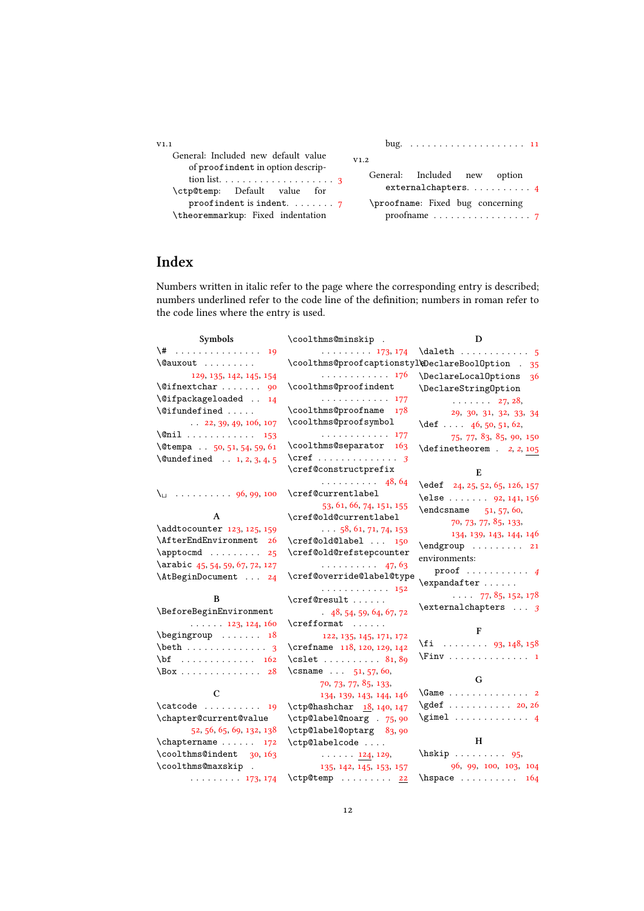| V1.1                                                                                     | bug. $\ldots \ldots \ldots \ldots \ldots \ldots \ldots 11$      |
|------------------------------------------------------------------------------------------|-----------------------------------------------------------------|
| General: Included new default value<br>of proof indent in option descrip-                | V1.2                                                            |
| tion list. $\ldots \ldots \ldots \ldots \ldots \ldots$ 3<br>\ctp@temp: Default value for | General: Included new option<br>external chapters. $\ldots$ . 4 |
| proof indent is indent. $\ldots$ , 7                                                     | \proofname: Fixed bug concerning                                |
| \theoremmarkup: Fixed indentation                                                        | proofname $\ldots \ldots \ldots \ldots \ldots$ 7                |

# **Index**

Numbers written in italic refer to the page where the corresponding entry is described; numbers underlined refer to the code line of the definition; numbers in roman refer to the code lines where the entry is used.

| Symbols                                                                                                                                                                                                                                                                                                                                                                                                                                                                                                                                                                                             | \coolthms@minskip .                               | D                                                        |
|-----------------------------------------------------------------------------------------------------------------------------------------------------------------------------------------------------------------------------------------------------------------------------------------------------------------------------------------------------------------------------------------------------------------------------------------------------------------------------------------------------------------------------------------------------------------------------------------------------|---------------------------------------------------|----------------------------------------------------------|
| $\{\sharp$ 19                                                                                                                                                                                                                                                                                                                                                                                                                                                                                                                                                                                       | $\cdots \cdots \cdots 173.174$                    |                                                          |
| \@auxout                                                                                                                                                                                                                                                                                                                                                                                                                                                                                                                                                                                            | \coolthms@proofcaptionstyl\DeclareBoolOption . 35 |                                                          |
| 129, 135, 142, 145, 154                                                                                                                                                                                                                                                                                                                                                                                                                                                                                                                                                                             | . 176                                             | \DeclareLocalOptions<br>-36                              |
| $\sqrt{9}$ ifnextchar  90                                                                                                                                                                                                                                                                                                                                                                                                                                                                                                                                                                           | \coolthms@proofindent                             | \DeclareStringOption                                     |
| \@ifpackageloaded  14                                                                                                                                                                                                                                                                                                                                                                                                                                                                                                                                                                               | . 177                                             | $\cdots$ $27, 28,$                                       |
| \@ifundefined                                                                                                                                                                                                                                                                                                                                                                                                                                                                                                                                                                                       | \coolthms@proofname<br>178                        | 29, 30, 31, 32, 33, 34                                   |
| $\ldots$ 22, 39, 49, 106, 107                                                                                                                                                                                                                                                                                                                                                                                                                                                                                                                                                                       | \coolthms@proofsymbol                             | $\det$ 46, 50, 51, 62,                                   |
| $\text{Onil} \ldots \ldots \ldots \quad 153$                                                                                                                                                                                                                                                                                                                                                                                                                                                                                                                                                        | . 177                                             | 75, 77, 83, 85, 90, 150                                  |
| \@tempa . 50, 51, 54, 59, 61                                                                                                                                                                                                                                                                                                                                                                                                                                                                                                                                                                        | \coolthms@separator 163                           | $\definetheorem . 2, 2, 105$                             |
| $\text{Qundefined} \dots 1, 2, 3, 4, 5$                                                                                                                                                                                                                                                                                                                                                                                                                                                                                                                                                             |                                                   |                                                          |
|                                                                                                                                                                                                                                                                                                                                                                                                                                                                                                                                                                                                     | \cref@constructprefix                             | E                                                        |
|                                                                                                                                                                                                                                                                                                                                                                                                                                                                                                                                                                                                     | $\cdots \cdots \cdots$ 48, 64                     | \edef 24, 25, 52, 65, 126, 157                           |
|                                                                                                                                                                                                                                                                                                                                                                                                                                                                                                                                                                                                     | \cref@currentlabel                                | \else  92, 141, 156                                      |
|                                                                                                                                                                                                                                                                                                                                                                                                                                                                                                                                                                                                     | 53, 61, 66, 74, 151, 155                          | $\end{ms}$ 51, 57, 60,                                   |
| A                                                                                                                                                                                                                                                                                                                                                                                                                                                                                                                                                                                                   | \cref@old@currentlabel                            | 70, 73, 77, 85, 133,                                     |
| \addtocounter 123, 125, 159                                                                                                                                                                                                                                                                                                                                                                                                                                                                                                                                                                         | $\ldots$ 58, 61, 71, 74, 153                      | 134, 139, 143, 144, 146                                  |
| \AfterEndEnvironment 26                                                                                                                                                                                                                                                                                                                                                                                                                                                                                                                                                                             | \cref@old@label  150                              | $\end{group}$ 21                                         |
| $\approx 25$                                                                                                                                                                                                                                                                                                                                                                                                                                                                                                                                                                                        | \cref@old@refstepcounter                          | environments:                                            |
| \arabic 45, 54, 59, 67, 72, 127                                                                                                                                                                                                                                                                                                                                                                                                                                                                                                                                                                     | $\ldots \ldots \ldots$ 47, 63                     | $\text{proof} \dots \dots \dots \dots \ 4$               |
| \AtBeginDocument  24                                                                                                                                                                                                                                                                                                                                                                                                                                                                                                                                                                                | \cref@override@label@type                         | $\exp\{f(x) + \ldots\}$                                  |
|                                                                                                                                                                                                                                                                                                                                                                                                                                                                                                                                                                                                     | . 152                                             | $\ldots$ 77, 85, 152, 178                                |
| B                                                                                                                                                                                                                                                                                                                                                                                                                                                                                                                                                                                                   | \cref@result                                      | $\text{text} \ldots$ 3                                   |
| \BeforeBeginEnvironment                                                                                                                                                                                                                                                                                                                                                                                                                                                                                                                                                                             | 48, 54, 59, 64, 67, 72                            |                                                          |
| $\ldots$ $\ldots$ 123, 124, 160                                                                                                                                                                                                                                                                                                                                                                                                                                                                                                                                                                     | \crefformat                                       | $\mathbf{F}$                                             |
| $\begin{bmatrix} \begin{array}{ccc} \end{array} \\ \begin{array}{ccc} \end{array} \\ \begin{array}{ccc} \end{array} \\ \begin{array}{ccc} \end{array} \\ \begin{array}{ccc} \end{array} \\ \begin{array}{ccc} \end{array} \\ \begin{array}{ccc} \end{array} \\ \begin{array}{ccc} \end{array} \\ \begin{array}{ccc} \end{array} \\ \begin{array}{ccc} \end{array} \\ \begin{array}{ccc} \end{array} \\ \begin{array}{ccc} \end{array} \\ \begin{array}{ccc} \end{array} \\ \begin{array}{ccc} \end{array} \\ \begin{array}{ccc} \end{array} \\ \begin{array}{ccc} \end{array} \\ \begin{array}{ccc$ | 122, 135, 145, 171, 172                           | $\{f_i$ 93, 148, 158                                     |
| $\beta \ldots \ldots \ldots \ldots$                                                                                                                                                                                                                                                                                                                                                                                                                                                                                                                                                                 | \crefname 118, 120, 129, 142                      |                                                          |
| $\bf \{bf} \ldots \ldots \ldots \quad 162$                                                                                                                                                                                                                                                                                                                                                                                                                                                                                                                                                          | $\text{cslet} \ldots \ldots \quad 81,89$          |                                                          |
| $\text{Box} \dots \dots \dots \dots \dots 28$                                                                                                                                                                                                                                                                                                                                                                                                                                                                                                                                                       | \csname $51, 57, 60,$                             | G                                                        |
| C                                                                                                                                                                                                                                                                                                                                                                                                                                                                                                                                                                                                   | 70, 73, 77, 85, 133,                              | $\label{eq:Gamma} \verb \Game   \ldots \verb   \ldots 2$ |
|                                                                                                                                                                                                                                                                                                                                                                                                                                                                                                                                                                                                     | 134, 139, 143, 144, 146                           | \gdef 20, 26                                             |
| $\text{Catcode} \dots \dots \dots \quad 19$                                                                                                                                                                                                                                                                                                                                                                                                                                                                                                                                                         | \ctp@hashchar 18, 140, 147                        | $\qquad \qquad \ldots \ldots \qquad 4$                   |
| \chapter@current@value                                                                                                                                                                                                                                                                                                                                                                                                                                                                                                                                                                              | \ctp@label@noarg . 75,90                          |                                                          |
| 52, 56, 65, 69, 132, 138                                                                                                                                                                                                                                                                                                                                                                                                                                                                                                                                                                            | \ctp@label@optarg 83,90                           | H                                                        |
| $\Lambda$ 172<br>\coolthms@indent 30, 163                                                                                                                                                                                                                                                                                                                                                                                                                                                                                                                                                           | \ctp@labelcode                                    | $\hbox{hskip} \ldots \ldots 95.$                         |
| \coolthms@maxskip .                                                                                                                                                                                                                                                                                                                                                                                                                                                                                                                                                                                 | $\cdots$ $\cdots$ 124, 129,                       | 96, 99, 100, 103, 104                                    |
|                                                                                                                                                                                                                                                                                                                                                                                                                                                                                                                                                                                                     | 135, 142, 145, 153, 157                           |                                                          |
| $\cdots \cdots \cdots 173.174$                                                                                                                                                                                                                                                                                                                                                                                                                                                                                                                                                                      | \ctp@temp  22                                     | $\hbox{\tt hspace}$ 164                                  |